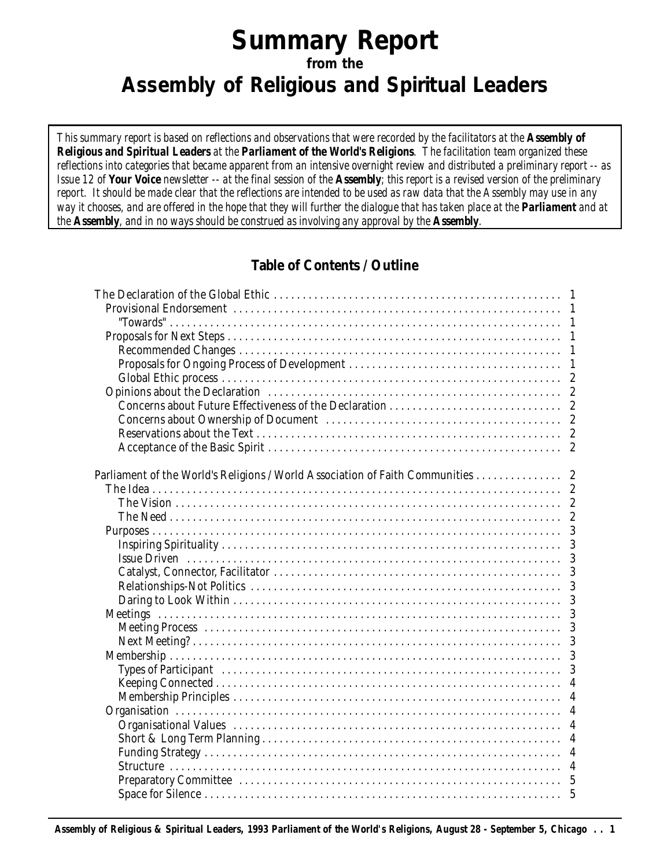# **Summary Report from the Assembly of Religious and Spiritual Leaders**

*This summary report is based on reflections and observations that were recorded by the facilitators at the Assembly of Religious and Spiritual Leaders at the Parliament of the World's Religions. The facilitation team organized these reflections into categories that became apparent from an intensive overnight review and distributed a preliminary report -- as Issue 12 of Your Voice newsletter -- at the final session of the Assembly; this report is a revised version of the preliminary report. It should be made clear that the reflections are intended to be used as raw data that the Assembly may use in any way it chooses, and are offered in the hope that they will further the dialogue that has taken place at the Parliament and at the Assembly, and in no ways should be construed as involving any approval by the Assembly.*

# **Table of Contents / Outline**

| Parliament of the World's Religions / World Association of Faith Communities 2 |                |
|--------------------------------------------------------------------------------|----------------|
|                                                                                |                |
|                                                                                |                |
|                                                                                |                |
|                                                                                | 3              |
|                                                                                | 3              |
|                                                                                | 3              |
|                                                                                | 3              |
|                                                                                | 3              |
|                                                                                | 3              |
|                                                                                | 3              |
|                                                                                | 3              |
|                                                                                | 3              |
|                                                                                | 3              |
|                                                                                | 3              |
|                                                                                | $\overline{4}$ |
|                                                                                |                |
|                                                                                |                |
|                                                                                |                |
|                                                                                |                |
|                                                                                |                |
|                                                                                |                |
|                                                                                |                |
|                                                                                |                |
|                                                                                |                |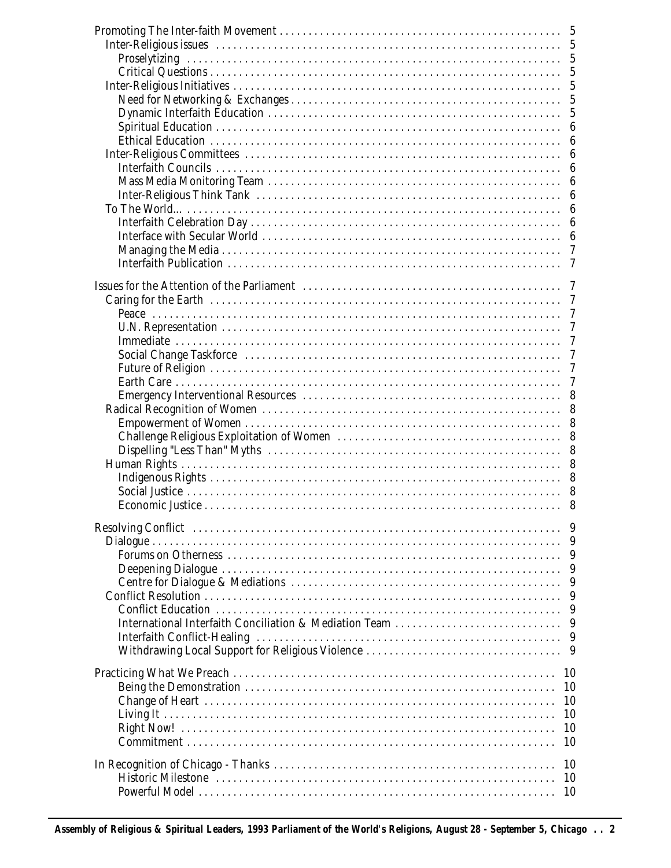| 5                                                                                                         |  |
|-----------------------------------------------------------------------------------------------------------|--|
| 5                                                                                                         |  |
| 5                                                                                                         |  |
| 5                                                                                                         |  |
| $\overline{5}$                                                                                            |  |
| $\overline{5}$                                                                                            |  |
| $\overline{5}$<br>Dynamic Interfaith Education<br>Spiritual Education                                     |  |
| 6                                                                                                         |  |
| 6                                                                                                         |  |
| 6                                                                                                         |  |
| $\boldsymbol{6}$                                                                                          |  |
| 6                                                                                                         |  |
| 6                                                                                                         |  |
| 6<br>6                                                                                                    |  |
| 6                                                                                                         |  |
| 7                                                                                                         |  |
| 7                                                                                                         |  |
|                                                                                                           |  |
|                                                                                                           |  |
|                                                                                                           |  |
| 7                                                                                                         |  |
| 7                                                                                                         |  |
| 7                                                                                                         |  |
| 7                                                                                                         |  |
| 7                                                                                                         |  |
| 7                                                                                                         |  |
| 8                                                                                                         |  |
| 8                                                                                                         |  |
| 8                                                                                                         |  |
| 8                                                                                                         |  |
| 8                                                                                                         |  |
| 8                                                                                                         |  |
| 8                                                                                                         |  |
| 8<br>8                                                                                                    |  |
|                                                                                                           |  |
| Resolving Conflict (and according conflict of the contract of the contract of the Resolving Conflict<br>9 |  |
| 9                                                                                                         |  |
| 9                                                                                                         |  |
| 9                                                                                                         |  |
| 9                                                                                                         |  |
| 9                                                                                                         |  |
| 9                                                                                                         |  |
| International Interfaith Conciliation & Mediation Team<br>9                                               |  |
| 9                                                                                                         |  |
| 9                                                                                                         |  |
| 10                                                                                                        |  |
| 10                                                                                                        |  |
| 10                                                                                                        |  |
| 10                                                                                                        |  |
| 10                                                                                                        |  |
| 10                                                                                                        |  |
|                                                                                                           |  |
| 10                                                                                                        |  |
| 10                                                                                                        |  |
| 10                                                                                                        |  |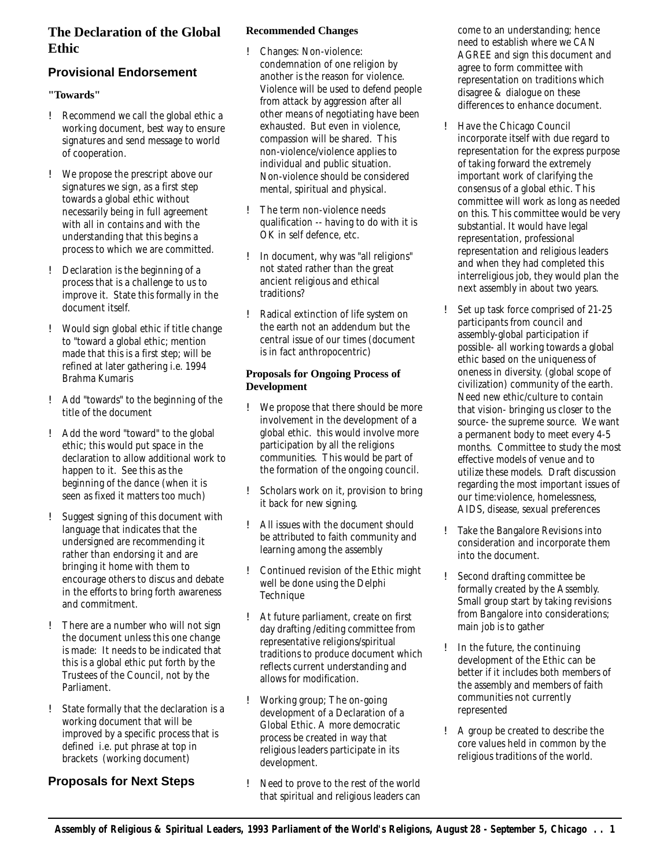# **The Declaration of the Global Ethic**

# **Provisional Endorsement**

#### **"Towards"**

- ! Recommend we call the global ethic a working document, best way to ensure signatures and send message to world of cooperation.
- ! We propose the prescript above our signatures we sign, as a first step towards a global ethic without necessarily being in full agreement with all in contains and with the understanding that this begins a process to which we are committed.
- ! Declaration is the beginning of a process that is a challenge to us to improve it. State this formally in the document itself.
- ! Would sign global ethic if title change to "toward a global ethic; mention made that this is a first step; will be refined at later gathering i.e. 1994 Brahma Kumaris
- ! Add "towards" to the beginning of the title of the document
- ! Add the word "toward" to the global ethic; this would put space in the declaration to allow additional work to happen to it. See this as the beginning of the dance (when it is seen as fixed it matters too much)
- ! Suggest signing of this document with language that indicates that the undersigned are recommending it rather than endorsing it and are bringing it home with them to encourage others to discus and debate in the efforts to bring forth awareness and commitment.
- ! There are a number who will not sign the document unless this one change is made: It needs to be indicated that this is a global ethic put forth by the Trustees of the Council, not by the Parliament.
- State formally that the declaration is a working document that will be improved by a specific process that is defined i.e. put phrase at top in brackets (working document)

# **Proposals for Next Steps**

#### **Recommended Changes**

- ! Changes: Non-violence: condemnation of one religion by another is the reason for violence. Violence will be used to defend people from attack by aggression after all other means of negotiating have been exhausted. But even in violence, compassion will be shared. This non-violence/violence applies to individual and public situation. Non-violence should be considered mental, spiritual and physical.
- ! The term non-violence needs qualification -- having to do with it is OK in self defence, etc.
- ! In document, why was "all religions" not stated rather than the great ancient religious and ethical traditions?
- ! Radical extinction of life system on the earth not an addendum but the central issue of our times (document is in fact anthropocentric)

#### **Proposals for Ongoing Process of Development**

- ! We propose that there should be more involvement in the development of a global ethic. this would involve more participation by all the religions communities. This would be part of the formation of the ongoing council.
- ! Scholars work on it, provision to bring it back for new signing.
- ! All issues with the document should be attributed to faith community and learning among the assembly
- ! Continued revision of the Ethic might well be done using the Delphi **Technique**
- ! At future parliament, create on first day drafting /editing committee from representative religions/spiritual traditions to produce document which reflects current understanding and allows for modification.
- ! Working group; The on-going development of a Declaration of a Global Ethic. A more democratic process be created in way that religious leaders participate in its development.
- ! Need to prove to the rest of the world that spiritual and religious leaders can

come to an understanding; hence need to establish where we CAN AGREE and sign this document and agree to form committee with representation on traditions which disagree & dialogue on these differences to enhance document.

- ! Have the Chicago Council incorporate itself with due regard to representation for the express purpose of taking forward the extremely important work of clarifying the consensus of a global ethic. This committee will work as long as needed on this. This committee would be very substantial. It would have legal representation, professional representation and religious leaders and when they had completed this interreligious job, they would plan the next assembly in about two years.
- ! Set up task force comprised of 21-25 participants from council and assembly-global participation if possible- all working towards a global ethic based on the uniqueness of oneness in diversity. (global scope of civilization) community of the earth. Need new ethic/culture to contain that vision- bringing us closer to the source- the supreme source. We want a permanent body to meet every 4-5 months. Committee to study the most effective models of venue and to utilize these models. Draft discussion regarding the most important issues of our time:violence, homelessness, AIDS, disease, sexual preferences
- ! Take the Bangalore Revisions into consideration and incorporate them into the document.
- ! Second drafting committee be formally created by the Assembly. Small group start by taking revisions from Bangalore into considerations; main job is to gather
- ! In the future, the continuing development of the Ethic can be better if it includes both members of the assembly and members of faith communities not currently represented
- ! A group be created to describe the core values held in common by the religious traditions of the world.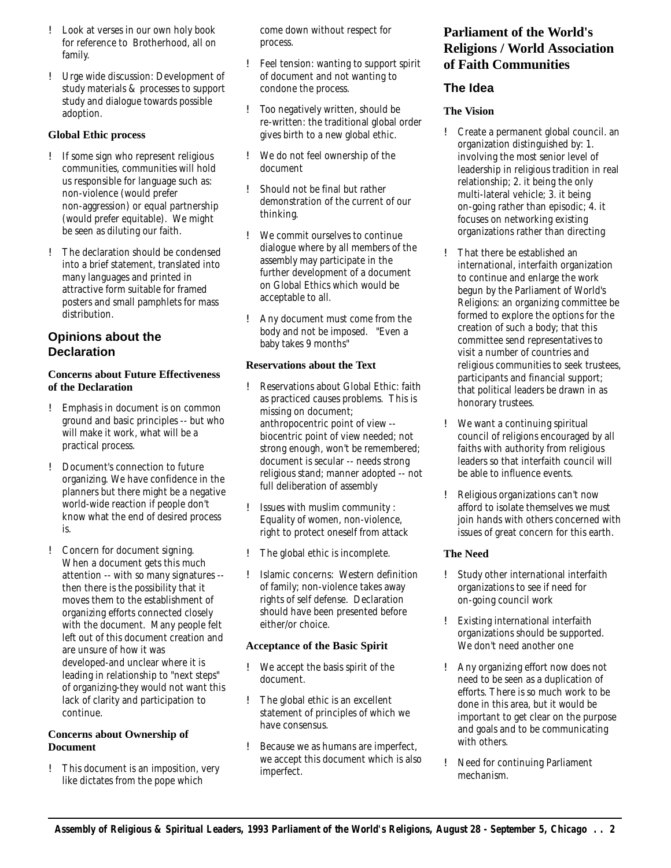- ! Look at verses in our own holy book for reference to Brotherhood, all on family.
- ! Urge wide discussion: Development of study materials & processes to support study and dialogue towards possible adoption.

#### **Global Ethic process**

- ! If some sign who represent religious communities, communities will hold us responsible for language such as: non-violence (would prefer non-aggression) or equal partnership (would prefer equitable). We might be seen as diluting our faith.
- ! The declaration should be condensed into a brief statement, translated into many languages and printed in attractive form suitable for framed posters and small pamphlets for mass distribution.

# **Opinions about the Declaration**

#### **Concerns about Future Effectiveness of the Declaration**

- ! Emphasis in document is on common ground and basic principles -- but who will make it work, what will be a practical process.
- ! Document's connection to future organizing. We have confidence in the planners but there might be a negative world-wide reaction if people don't know what the end of desired process is.
- ! Concern for document signing. When a document gets this much attention -- with so many signatures - then there is the possibility that it moves them to the establishment of organizing efforts connected closely with the document. Many people felt left out of this document creation and are unsure of how it was developed-and unclear where it is leading in relationship to "next steps" of organizing-they would not want this lack of clarity and participation to continue.

#### **Concerns about Ownership of Document**

! This document is an imposition, very like dictates from the pope which

come down without respect for process.

- ! Feel tension: wanting to support spirit of document and not wanting to condone the process.
- ! Too negatively written, should be re-written: the traditional global order gives birth to a new global ethic.
- ! We do not feel ownership of the document
- ! Should not be final but rather demonstration of the current of our thinking.
- ! We commit ourselves to continue dialogue where by all members of the assembly may participate in the further development of a document on Global Ethics which would be acceptable to all.
- ! Any document must come from the body and not be imposed. "Even a baby takes 9 months"

#### **Reservations about the Text**

- ! Reservations about Global Ethic: faith as practiced causes problems. This is missing on document; anthropocentric point of view - biocentric point of view needed; not strong enough, won't be remembered; document is secular -- needs strong religious stand; manner adopted -- not full deliberation of assembly
- ! Issues with muslim community : Equality of women, non-violence, right to protect oneself from attack
- ! The global ethic is incomplete.
- ! Islamic concerns: Western definition of family; non-violence takes away rights of self defense. Declaration should have been presented before either/or choice.

#### **Acceptance of the Basic Spirit**

- ! We accept the basis spirit of the document.
- ! The global ethic is an excellent statement of principles of which we have consensus.
- ! Because we as humans are imperfect, we accept this document which is also imperfect.

# **Parliament of the World's Religions / World Association of Faith Communities**

### **The Idea**

#### **The Vision**

- ! Create a permanent global council. an organization distinguished by: 1. involving the most senior level of leadership in religious tradition in real relationship; 2. it being the only multi-lateral vehicle; 3. it being on-going rather than episodic; 4. it focuses on networking existing organizations rather than directing
- ! That there be established an international, interfaith organization to continue and enlarge the work begun by the Parliament of World's Religions: an organizing committee be formed to explore the options for the creation of such a body; that this committee send representatives to visit a number of countries and religious communities to seek trustees, participants and financial support; that political leaders be drawn in as honorary trustees.
- ! We want a continuing spiritual council of religions encouraged by all faiths with authority from religious leaders so that interfaith council will be able to influence events.
- ! Religious organizations can't now afford to isolate themselves we must join hands with others concerned with issues of great concern for this earth.

#### **The Need**

- ! Study other international interfaith organizations to see if need for on-going council work
- ! Existing international interfaith organizations should be supported. We don't need another one
- ! Any organizing effort now does not need to be seen as a duplication of efforts. There is so much work to be done in this area, but it would be important to get clear on the purpose and goals and to be communicating with others.
- ! Need for continuing Parliament mechanism.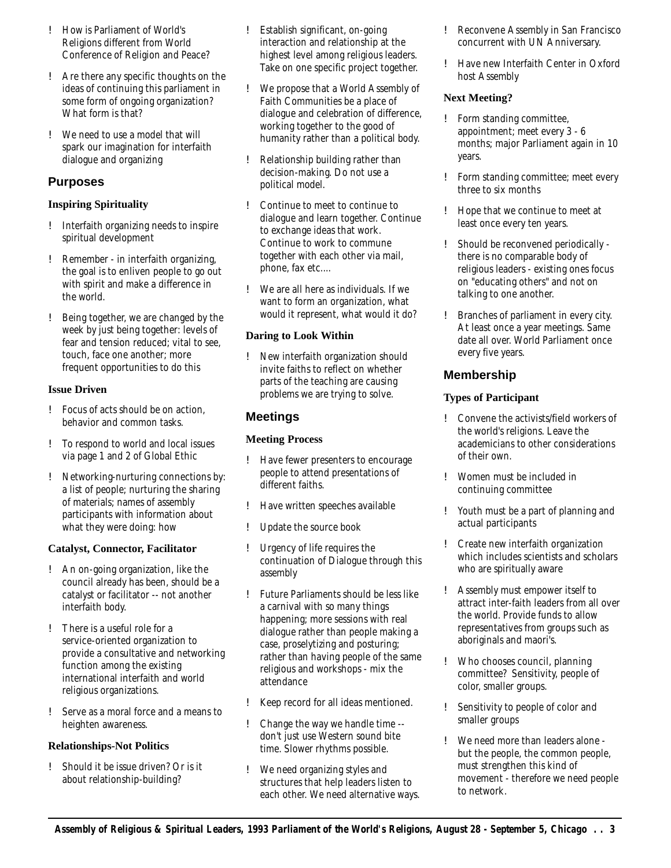- ! How is Parliament of World's Religions different from World Conference of Religion and Peace?
- ! Are there any specific thoughts on the ideas of continuing this parliament in some form of ongoing organization? What form is that?
- ! We need to use a model that will spark our imagination for interfaith dialogue and organizing

### **Purposes**

#### **Inspiring Spirituality**

- ! Interfaith organizing needs to inspire spiritual development
- ! Remember in interfaith organizing, the goal is to enliven people to go out with spirit and make a difference in the world.
- ! Being together, we are changed by the week by just being together: levels of fear and tension reduced; vital to see, touch, face one another; more frequent opportunities to do this

#### **Issue Driven**

- ! Focus of acts should be on action, behavior and common tasks.
- ! To respond to world and local issues via page 1 and 2 of Global Ethic
- ! Networking-nurturing connections by: a list of people; nurturing the sharing of materials; names of assembly participants with information about what they were doing: how

#### **Catalyst, Connector, Facilitator**

- ! An on-going organization, like the council already has been, should be a catalyst or facilitator -- not another interfaith body.
- ! There is a useful role for a service-oriented organization to provide a consultative and networking function among the existing international interfaith and world religious organizations.
- ! Serve as a moral force and a means to heighten awareness.

#### **Relationships-Not Politics**

! Should it be issue driven? Or is it about relationship-building?

- ! Establish significant, on-going interaction and relationship at the highest level among religious leaders. Take on one specific project together.
- ! We propose that a World Assembly of Faith Communities be a place of dialogue and celebration of difference, working together to the good of humanity rather than a political body.
- ! Relationship building rather than decision-making. Do not use a political model.
- ! Continue to meet to continue to dialogue and learn together. Continue to exchange ideas that work. Continue to work to commune together with each other via mail, phone, fax etc....
- ! We are all here as individuals. If we want to form an organization, what would it represent, what would it do?

#### **Daring to Look Within**

! New interfaith organization should invite faiths to reflect on whether parts of the teaching are causing problems we are trying to solve.

# **Meetings**

#### **Meeting Process**

- ! Have fewer presenters to encourage people to attend presentations of different faiths.
- ! Have written speeches available
- ! Update the source book
- ! Urgency of life requires the continuation of Dialogue through this assembly
- ! Future Parliaments should be less like a carnival with so many things happening; more sessions with real dialogue rather than people making a case, proselytizing and posturing; rather than having people of the same religious and workshops - mix the attendance
- ! Keep record for all ideas mentioned.
- ! Change the way we handle time don't just use Western sound bite time. Slower rhythms possible.
- ! We need organizing styles and structures that help leaders listen to each other. We need alternative ways.
- ! Reconvene Assembly in San Francisco concurrent with UN Anniversary.
- ! Have new Interfaith Center in Oxford host Assembly

#### **Next Meeting?**

- ! Form standing committee, appointment; meet every 3 - 6 months; major Parliament again in 10 years.
- ! Form standing committee; meet every three to six months
- ! Hope that we continue to meet at least once every ten years.
- ! Should be reconvened periodically there is no comparable body of religious leaders - existing ones focus on "educating others" and not on talking to one another.
- ! Branches of parliament in every city. At least once a year meetings. Same date all over. World Parliament once every five years.

# **Membership**

#### **Types of Participant**

- ! Convene the activists/field workers of the world's religions. Leave the academicians to other considerations of their own.
- ! Women must be included in continuing committee
- ! Youth must be a part of planning and actual participants
- ! Create new interfaith organization which includes scientists and scholars who are spiritually aware
- ! Assembly must empower itself to attract inter-faith leaders from all over the world. Provide funds to allow representatives from groups such as aboriginals and maori's.
- ! Who chooses council, planning committee? Sensitivity, people of color, smaller groups.
- ! Sensitivity to people of color and smaller groups
- ! We need more than leaders alone but the people, the common people, must strengthen this kind of movement - therefore we need people to network.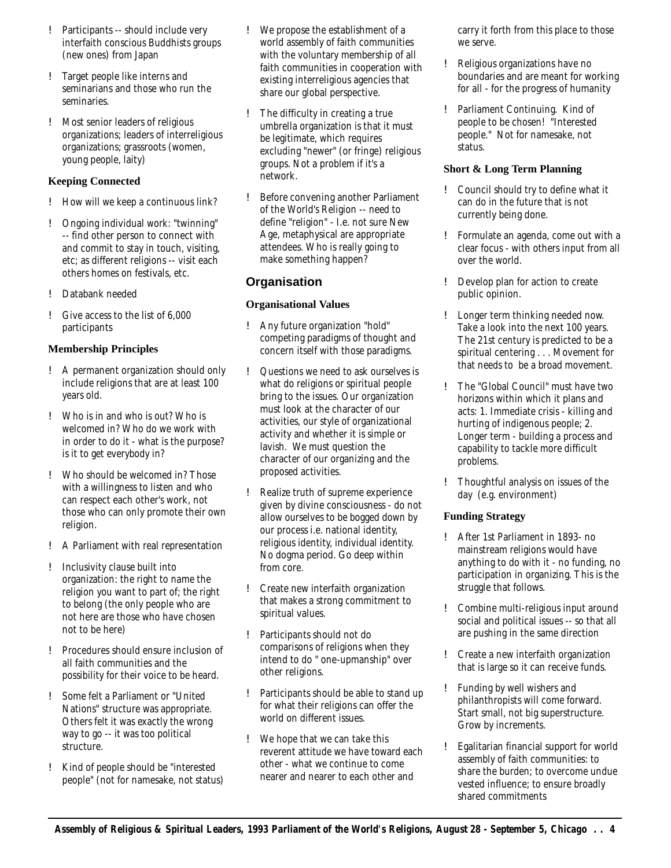- ! Participants -- should include very interfaith conscious Buddhists groups (new ones) from Japan
- ! Target people like interns and seminarians and those who run the seminaries.
- ! Most senior leaders of religious organizations; leaders of interreligious organizations; grassroots (women, young people, laity)

#### **Keeping Connected**

- ! How will we keep a continuous link?
- ! Ongoing individual work: "twinning" -- find other person to connect with and commit to stay in touch, visiting, etc; as different religions -- visit each others homes on festivals, etc.
- ! Databank needed
- ! Give access to the list of 6,000 participants

#### **Membership Principles**

- ! A permanent organization should only include religions that are at least 100 years old.
- ! Who is in and who is out? Who is welcomed in? Who do we work with in order to do it - what is the purpose? is it to get everybody in?
- ! Who should be welcomed in? Those with a willingness to listen and who can respect each other's work, not those who can only promote their own religion.
- ! A Parliament with real representation
- ! Inclusivity clause built into organization: the right to name the religion you want to part of; the right to belong (the only people who are not here are those who have chosen not to be here)
- ! Procedures should ensure inclusion of all faith communities and the possibility for their voice to be heard.
- ! Some felt a Parliament or "United Nations" structure was appropriate. Others felt it was exactly the wrong way to go -- it was too political structure.
- ! Kind of people should be "interested people" (not for namesake, not status)
- ! We propose the establishment of a world assembly of faith communities with the voluntary membership of all faith communities in cooperation with existing interreligious agencies that share our global perspective.
- ! The difficulty in creating a true umbrella organization is that it must be legitimate, which requires excluding "newer" (or fringe) religious groups. Not a problem if it's a network.
- ! Before convening another Parliament of the World's Religion -- need to define "religion" - I.e. not sure New Age, metaphysical are appropriate attendees. Who is really going to make something happen?

### **Organisation**

#### **Organisational Values**

- ! Any future organization "hold" competing paradigms of thought and concern itself with those paradigms.
- ! Questions we need to ask ourselves is what do religions or spiritual people bring to the issues. Our organization must look at the character of our activities, our style of organizational activity and whether it is simple or lavish. We must question the character of our organizing and the proposed activities.
- ! Realize truth of supreme experience given by divine consciousness - do not allow ourselves to be bogged down by our process i.e. national identity, religious identity, individual identity. No dogma period. Go deep within from core.
- ! Create new interfaith organization that makes a strong commitment to spiritual values.
- ! Participants should not do comparisons of religions when they intend to do " one-upmanship" over other religions.
- ! Participants should be able to stand up for what their religions can offer the world on different issues.
- ! We hope that we can take this reverent attitude we have toward each other - what we continue to come nearer and nearer to each other and

carry it forth from this place to those we serve.

- ! Religious organizations have no boundaries and are meant for working for all - for the progress of humanity
- ! Parliament Continuing. Kind of people to be chosen! "Interested people." Not for namesake, not status.

#### **Short & Long Term Planning**

- ! Council should try to define what it can do in the future that is not currently being done.
- ! Formulate an agenda, come out with a clear focus - with others input from all over the world.
- ! Develop plan for action to create public opinion.
- ! Longer term thinking needed now. Take a look into the next 100 years. The 21st century is predicted to be a spiritual centering . . . Movement for that needs to be a broad movement.
- ! The "Global Council" must have two horizons within which it plans and acts: 1. Immediate crisis - killing and hurting of indigenous people; 2. Longer term - building a process and capability to tackle more difficult problems.
- ! Thoughtful analysis on issues of the day (e.g. environment)

#### **Funding Strategy**

- ! After 1st Parliament in 1893- no mainstream religions would have anything to do with it - no funding, no participation in organizing. This is the struggle that follows.
- ! Combine multi-religious input around social and political issues -- so that all are pushing in the same direction
- ! Create a new interfaith organization that is large so it can receive funds.
- ! Funding by well wishers and philanthropists will come forward. Start small, not big superstructure. Grow by increments.
- ! Egalitarian financial support for world assembly of faith communities: to share the burden; to overcome undue vested influence; to ensure broadly shared commitments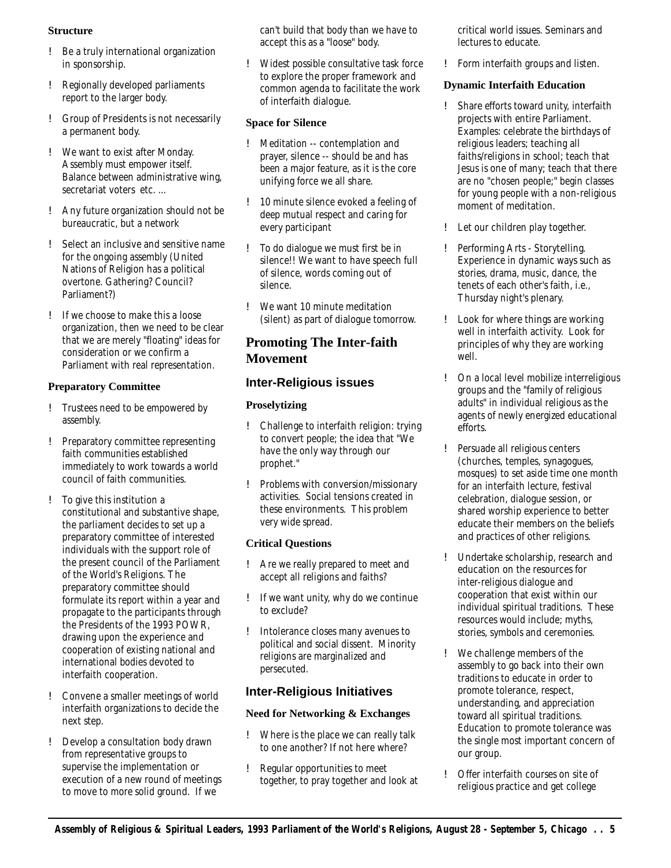#### **Structure**

- ! Be a truly international organization in sponsorship.
- ! Regionally developed parliaments report to the larger body.
- ! Group of Presidents is not necessarily a permanent body.
- ! We want to exist after Monday. Assembly must empower itself. Balance between administrative wing, secretariat voters etc. ...
- ! Any future organization should not be bureaucratic, but a network
- ! Select an inclusive and sensitive name for the ongoing assembly (United Nations of Religion has a political overtone. Gathering? Council? Parliament?)
- ! If we choose to make this a loose organization, then we need to be clear that we are merely "floating" ideas for consideration or we confirm a Parliament with real representation.

#### **Preparatory Committee**

- ! Trustees need to be empowered by assembly.
- ! Preparatory committee representing faith communities established immediately to work towards a world council of faith communities.
- ! To give this institution a constitutional and substantive shape, the parliament decides to set up a preparatory committee of interested individuals with the support role of the present council of the Parliament of the World's Religions. The preparatory committee should formulate its report within a year and propagate to the participants through the Presidents of the 1993 POWR, drawing upon the experience and cooperation of existing national and international bodies devoted to interfaith cooperation.
- ! Convene a smaller meetings of world interfaith organizations to decide the next step.
- ! Develop a consultation body drawn from representative groups to supervise the implementation or execution of a new round of meetings to move to more solid ground. If we

can't build that body than we have to accept this as a "loose" body.

! Widest possible consultative task force to explore the proper framework and common agenda to facilitate the work of interfaith dialogue.

#### **Space for Silence**

- ! Meditation -- contemplation and prayer, silence -- should be and has been a major feature, as it is the core unifying force we all share.
- ! 10 minute silence evoked a feeling of deep mutual respect and caring for every participant
- ! To do dialogue we must first be in silence!! We want to have speech full of silence, words coming out of silence.
- ! We want 10 minute meditation (silent) as part of dialogue tomorrow.

# **Promoting The Inter-faith Movement**

### **Inter-Religious issues**

#### **Proselytizing**

- ! Challenge to interfaith religion: trying to convert people; the idea that "We have the only way through our prophet."
- ! Problems with conversion/missionary activities. Social tensions created in these environments. This problem very wide spread.

#### **Critical Questions**

- ! Are we really prepared to meet and accept all religions and faiths?
- ! If we want unity, why do we continue to exclude?
- ! Intolerance closes many avenues to political and social dissent. Minority religions are marginalized and persecuted.

#### **Inter-Religious Initiatives**

#### **Need for Networking & Exchanges**

- ! Where is the place we can really talk to one another? If not here where?
- ! Regular opportunities to meet together, to pray together and look at

critical world issues. Seminars and lectures to educate.

! Form interfaith groups and listen.

#### **Dynamic Interfaith Education**

- ! Share efforts toward unity, interfaith projects with entire Parliament. Examples: celebrate the birthdays of religious leaders; teaching all faiths/religions in school; teach that Jesus is one of many; teach that there are no "chosen people;" begin classes for young people with a non-religious moment of meditation.
- ! Let our children play together.
- ! Performing Arts Storytelling. Experience in dynamic ways such as stories, drama, music, dance, the tenets of each other's faith, i.e., Thursday night's plenary.
- ! Look for where things are working well in interfaith activity. Look for principles of why they are working well.
- ! On a local level mobilize interreligious groups and the "family of religious adults" in individual religious as the agents of newly energized educational efforts.
- ! Persuade all religious centers (churches, temples, synagogues, mosques) to set aside time one month for an interfaith lecture, festival celebration, dialogue session, or shared worship experience to better educate their members on the beliefs and practices of other religions.
- ! Undertake scholarship, research and education on the resources for inter-religious dialogue and cooperation that exist within our individual spiritual traditions. These resources would include; myths, stories, symbols and ceremonies.
- ! We challenge members of the assembly to go back into their own traditions to educate in order to promote tolerance, respect, understanding, and appreciation toward all spiritual traditions. Education to promote tolerance was the single most important concern of our group.
- ! Offer interfaith courses on site of religious practice and get college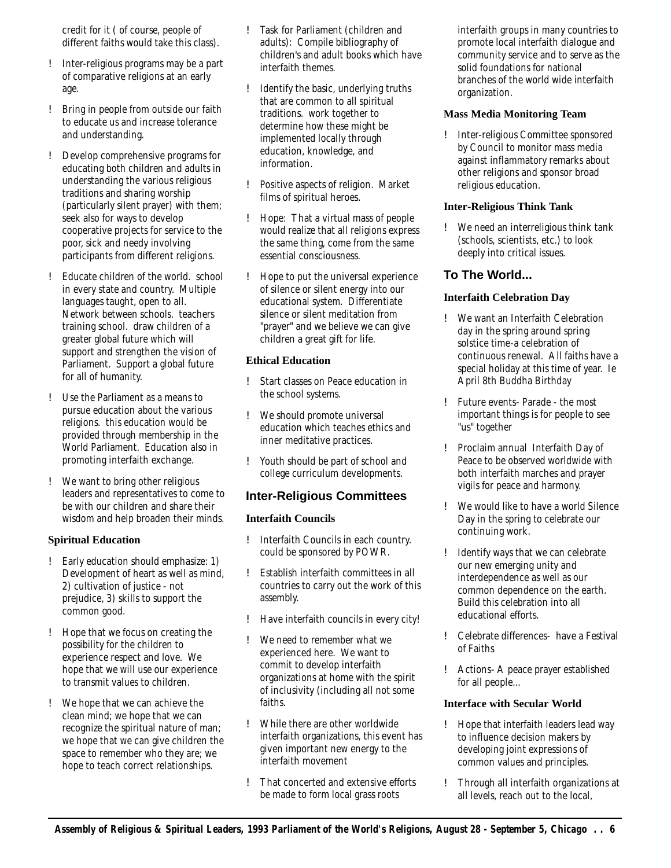credit for it ( of course, people of different faiths would take this class).

- ! Inter-religious programs may be a part of comparative religions at an early age.
- ! Bring in people from outside our faith to educate us and increase tolerance and understanding.
- ! Develop comprehensive programs for educating both children and adults in understanding the various religious traditions and sharing worship (particularly silent prayer) with them; seek also for ways to develop cooperative projects for service to the poor, sick and needy involving participants from different religions.
- ! Educate children of the world. school in every state and country. Multiple languages taught, open to all. Network between schools. teachers training school. draw children of a greater global future which will support and strengthen the vision of Parliament. Support a global future for all of humanity.
- ! Use the Parliament as a means to pursue education about the various religions. this education would be provided through membership in the World Parliament. Education also in promoting interfaith exchange.
- ! We want to bring other religious leaders and representatives to come to be with our children and share their wisdom and help broaden their minds.

#### **Spiritual Education**

- ! Early education should emphasize: 1) Development of heart as well as mind, 2) cultivation of justice - not prejudice, 3) skills to support the common good.
- ! Hope that we focus on creating the possibility for the children to experience respect and love. We hope that we will use our experience to transmit values to children.
- ! We hope that we can achieve the clean mind; we hope that we can recognize the spiritual nature of man; we hope that we can give children the space to remember who they are; we hope to teach correct relationships.
- ! Task for Parliament (children and adults): Compile bibliography of children's and adult books which have interfaith themes.
- ! Identify the basic, underlying truths that are common to all spiritual traditions. work together to determine how these might be implemented locally through education, knowledge, and information.
- ! Positive aspects of religion. Market films of spiritual heroes.
- ! Hope: That a virtual mass of people would realize that all religions express the same thing, come from the same essential consciousness.
- ! Hope to put the universal experience of silence or silent energy into our educational system. Differentiate silence or silent meditation from "prayer" and we believe we can give children a great gift for life.

#### **Ethical Education**

- ! Start classes on Peace education in the school systems.
- ! We should promote universal education which teaches ethics and inner meditative practices.
- ! Youth should be part of school and college curriculum developments.

#### **Inter-Religious Committees**

#### **Interfaith Councils**

- ! Interfaith Councils in each country. could be sponsored by POWR.
- ! Establish interfaith committees in all countries to carry out the work of this assembly.
- ! Have interfaith councils in every city!
- ! We need to remember what we experienced here. We want to commit to develop interfaith organizations at home with the spirit of inclusivity (including all not some faiths.
- ! While there are other worldwide interfaith organizations, this event has given important new energy to the interfaith movement
- ! That concerted and extensive efforts be made to form local grass roots

interfaith groups in many countries to promote local interfaith dialogue and community service and to serve as the solid foundations for national branches of the world wide interfaith organization.

#### **Mass Media Monitoring Team**

! Inter-religious Committee sponsored by Council to monitor mass media against inflammatory remarks about other religions and sponsor broad religious education.

#### **Inter-Religious Think Tank**

! We need an interreligious think tank (schools, scientists, etc.) to look deeply into critical issues.

# **To The World...**

#### **Interfaith Celebration Day**

- ! We want an Interfaith Celebration day in the spring around spring solstice time-a celebration of continuous renewal. All faiths have a special holiday at this time of year. Ie April 8th Buddha Birthday
- ! Future events- Parade the most important things is for people to see "us" together
- ! Proclaim annual Interfaith Day of Peace to be observed worldwide with both interfaith marches and prayer vigils for peace and harmony.
- ! We would like to have a world Silence Day in the spring to celebrate our continuing work.
- ! Identify ways that we can celebrate our new emerging unity and interdependence as well as our common dependence on the earth. Build this celebration into all educational efforts.
- ! Celebrate differences- have a Festival of Faiths
- ! Actions- A peace prayer established for all people...

#### **Interface with Secular World**

- ! Hope that interfaith leaders lead way to influence decision makers by developing joint expressions of common values and principles.
- ! Through all interfaith organizations at all levels, reach out to the local,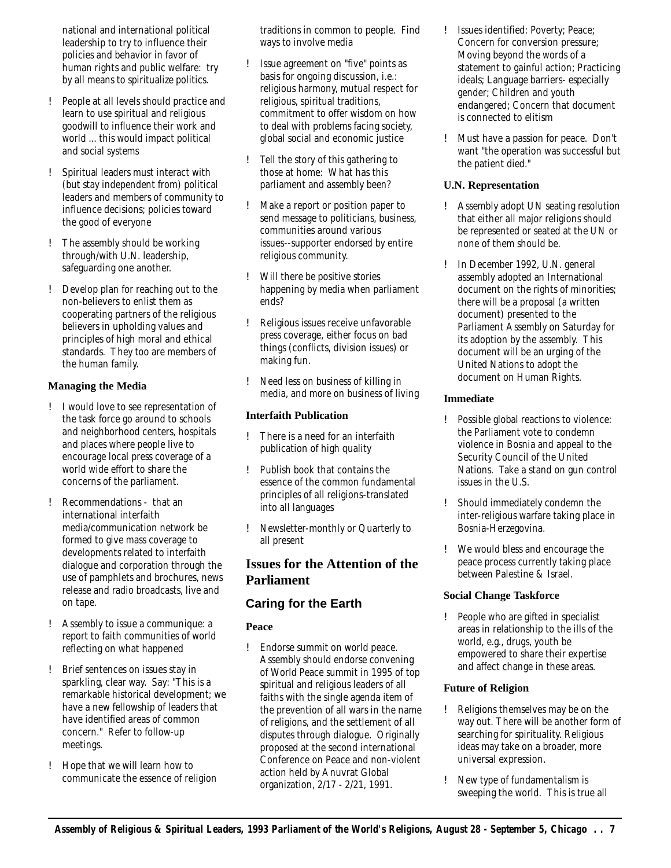national and international political leadership to try to influence their policies and behavior in favor of human rights and public welfare: try by all means to spiritualize politics.

- ! People at all levels should practice and learn to use spiritual and religious goodwill to influence their work and world ... this would impact political and social systems
- ! Spiritual leaders must interact with (but stay independent from) political leaders and members of community to influence decisions; policies toward the good of everyone
- ! The assembly should be working through/with U.N. leadership, safeguarding one another.
- ! Develop plan for reaching out to the non-believers to enlist them as cooperating partners of the religious believers in upholding values and principles of high moral and ethical standards. They too are members of the human family.

#### **Managing the Media**

- ! I would love to see representation of the task force go around to schools and neighborhood centers, hospitals and places where people live to encourage local press coverage of a world wide effort to share the concerns of the parliament.
- ! Recommendations that an international interfaith media/communication network be formed to give mass coverage to developments related to interfaith dialogue and corporation through the use of pamphlets and brochures, news release and radio broadcasts, live and on tape.
- ! Assembly to issue a communique: a report to faith communities of world reflecting on what happened
- ! Brief sentences on issues stay in sparkling, clear way. Say: "This is a remarkable historical development; we have a new fellowship of leaders that have identified areas of common concern." Refer to follow-up meetings.
- ! Hope that we will learn how to communicate the essence of religion

traditions in common to people. Find ways to involve media

- ! Issue agreement on "five" points as basis for ongoing discussion, i.e.: religious harmony, mutual respect for religious, spiritual traditions, commitment to offer wisdom on how to deal with problems facing society, global social and economic justice
- ! Tell the story of this gathering to those at home: What has this parliament and assembly been?
- ! Make a report or position paper to send message to politicians, business, communities around various issues--supporter endorsed by entire religious community.
- ! Will there be positive stories happening by media when parliament ends?
- ! Religious issues receive unfavorable press coverage, either focus on bad things (conflicts, division issues) or making fun.
- ! Need less on business of killing in media, and more on business of living

#### **Interfaith Publication**

- ! There is a need for an interfaith publication of high quality
- ! Publish book that contains the essence of the common fundamental principles of all religions-translated into all languages
- ! Newsletter-monthly or Quarterly to all present

# **Issues for the Attention of the Parliament**

# **Caring for the Earth**

#### **Peace**

! Endorse summit on world peace. Assembly should endorse convening of World Peace summit in 1995 of top spiritual and religious leaders of all faiths with the single agenda item of the prevention of all wars in the name of religions, and the settlement of all disputes through dialogue. Originally proposed at the second international Conference on Peace and non-violent action held by Anuvrat Global organization, 2/17 - 2/21, 1991.

- ! Issues identified: Poverty; Peace; Concern for conversion pressure; Moving beyond the words of a statement to gainful action; Practicing ideals; Language barriers- especially gender; Children and youth endangered; Concern that document is connected to elitism
- ! Must have a passion for peace. Don't want "the operation was successful but the patient died."

#### **U.N. Representation**

- ! Assembly adopt UN seating resolution that either all major religions should be represented or seated at the UN or none of them should be.
- ! In December 1992, U.N. general assembly adopted an International document on the rights of minorities; there will be a proposal (a written document) presented to the Parliament Assembly on Saturday for its adoption by the assembly. This document will be an urging of the United Nations to adopt the document on Human Rights.

#### **Immediate**

- ! Possible global reactions to violence: the Parliament vote to condemn violence in Bosnia and appeal to the Security Council of the United Nations. Take a stand on gun control issues in the U.S.
- ! Should immediately condemn the inter-religious warfare taking place in Bosnia-Herzegovina.
- ! We would bless and encourage the peace process currently taking place between Palestine & Israel.

#### **Social Change Taskforce**

! People who are gifted in specialist areas in relationship to the ills of the world, e.g., drugs, youth be empowered to share their expertise and affect change in these areas.

#### **Future of Religion**

- ! Religions themselves may be on the way out. There will be another form of searching for spirituality. Religious ideas may take on a broader, more universal expression.
- ! New type of fundamentalism is sweeping the world. This is true all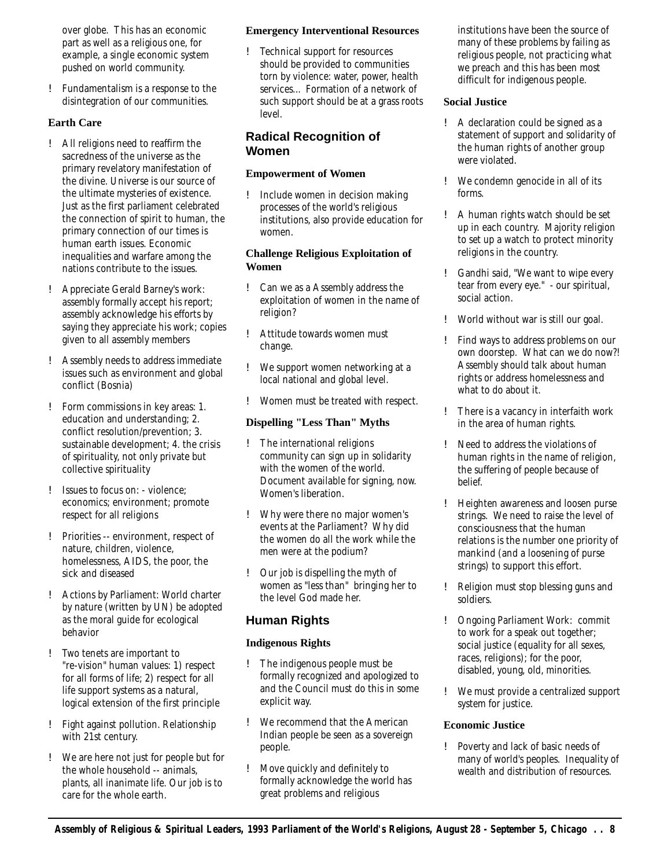over globe. This has an economic part as well as a religious one, for example, a single economic system pushed on world community.

! Fundamentalism is a response to the disintegration of our communities.

#### **Earth Care**

- ! All religions need to reaffirm the sacredness of the universe as the primary revelatory manifestation of the divine. Universe is our source of the ultimate mysteries of existence. Just as the first parliament celebrated the connection of spirit to human, the primary connection of our times is human earth issues. Economic inequalities and warfare among the nations contribute to the issues.
- ! Appreciate Gerald Barney's work: assembly formally accept his report; assembly acknowledge his efforts by saying they appreciate his work; copies given to all assembly members
- ! Assembly needs to address immediate issues such as environment and global conflict (Bosnia)
- ! Form commissions in key areas: 1. education and understanding; 2. conflict resolution/prevention; 3. sustainable development; 4. the crisis of spirituality, not only private but collective spirituality
- ! Issues to focus on: violence; economics; environment; promote respect for all religions
- ! Priorities -- environment, respect of nature, children, violence, homelessness, AIDS, the poor, the sick and diseased
- ! Actions by Parliament: World charter by nature (written by UN) be adopted as the moral guide for ecological behavior
- ! Two tenets are important to "re-vision" human values: 1) respect for all forms of life; 2) respect for all life support systems as a natural, logical extension of the first principle
- ! Fight against pollution. Relationship with 21st century.
- ! We are here not just for people but for the whole household -- animals, plants, all inanimate life. Our job is to care for the whole earth.

#### **Emergency Interventional Resources**

! Technical support for resources should be provided to communities torn by violence: water, power, health services... Formation of a network of such support should be at a grass roots level.

# **Radical Recognition of Women**

#### **Empowerment of Women**

! Include women in decision making processes of the world's religious institutions, also provide education for women.

#### **Challenge Religious Exploitation of Women**

- ! Can we as a Assembly address the exploitation of women in the name of religion?
- ! Attitude towards women must change.
- ! We support women networking at a local national and global level.
- ! Women must be treated with respect.

#### **Dispelling "Less Than" Myths**

- ! The international religions community can sign up in solidarity with the women of the world. Document available for signing, now. Women's liberation.
- ! Why were there no major women's events at the Parliament? Why did the women do all the work while the men were at the podium?
- ! Our job is dispelling the myth of women as "less than" bringing her to the level God made her.

# **Human Rights**

#### **Indigenous Rights**

- ! The indigenous people must be formally recognized and apologized to and the Council must do this in some explicit way.
- ! We recommend that the American Indian people be seen as a sovereign people.
- ! Move quickly and definitely to formally acknowledge the world has great problems and religious

institutions have been the source of many of these problems by failing as religious people, not practicing what we preach and this has been most difficult for indigenous people.

#### **Social Justice**

- ! A declaration could be signed as a statement of support and solidarity of the human rights of another group were violated.
- ! We condemn genocide in all of its forms.
- ! A human rights watch should be set up in each country. Majority religion to set up a watch to protect minority religions in the country.
- ! Gandhi said, "We want to wipe every tear from every eye." - our spiritual, social action.
- ! World without war is still our goal.
- ! Find ways to address problems on our own doorstep. What can we do now?! Assembly should talk about human rights or address homelessness and what to do about it.
- ! There is a vacancy in interfaith work in the area of human rights.
- ! Need to address the violations of human rights in the name of religion, the suffering of people because of belief.
- ! Heighten awareness and loosen purse strings. We need to raise the level of consciousness that the human relations is the number one priority of mankind (and a loosening of purse strings) to support this effort.
- ! Religion must stop blessing guns and soldiers.
- ! Ongoing Parliament Work: commit to work for a speak out together; social justice (equality for all sexes, races, religions); for the poor, disabled, young, old, minorities.
- ! We must provide a centralized support system for justice.

#### **Economic Justice**

! Poverty and lack of basic needs of many of world's peoples. Inequality of wealth and distribution of resources.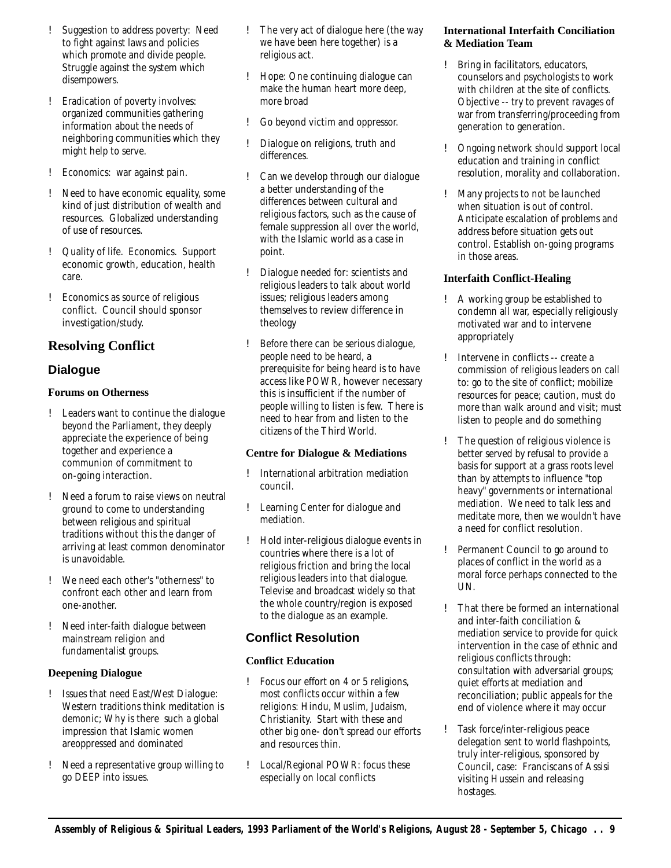- ! Suggestion to address poverty: Need to fight against laws and policies which promote and divide people. Struggle against the system which disempowers.
- ! Eradication of poverty involves: organized communities gathering information about the needs of neighboring communities which they might help to serve.
- ! Economics: war against pain.
- ! Need to have economic equality, some kind of just distribution of wealth and resources. Globalized understanding of use of resources.
- ! Quality of life. Economics. Support economic growth, education, health care.
- ! Economics as source of religious conflict. Council should sponsor investigation/study.

# **Resolving Conflict**

# **Dialogue**

#### **Forums on Otherness**

- ! Leaders want to continue the dialogue beyond the Parliament, they deeply appreciate the experience of being together and experience a communion of commitment to on-going interaction.
- ! Need a forum to raise views on neutral ground to come to understanding between religious and spiritual traditions without this the danger of arriving at least common denominator is unavoidable.
- ! We need each other's "otherness" to confront each other and learn from one-another.
- ! Need inter-faith dialogue between mainstream religion and fundamentalist groups.

#### **Deepening Dialogue**

- ! Issues that need East/West Dialogue: Western traditions think meditation is demonic; Why is there such a global impression that Islamic women areoppressed and dominated
- ! Need a representative group willing to go DEEP into issues.
- ! The very act of dialogue here (the way we have been here together) is a religious act.
- ! Hope: One continuing dialogue can make the human heart more deep, more broad
- ! Go beyond victim and oppressor.
- ! Dialogue on religions, truth and differences.
- ! Can we develop through our dialogue a better understanding of the differences between cultural and religious factors, such as the cause of female suppression all over the world, with the Islamic world as a case in point.
- ! Dialogue needed for: scientists and religious leaders to talk about world issues; religious leaders among themselves to review difference in theology
- ! Before there can be serious dialogue, people need to be heard, a prerequisite for being heard is to have access like POWR, however necessary this is insufficient if the number of people willing to listen is few. There is need to hear from and listen to the citizens of the Third World.

#### **Centre for Dialogue & Mediations**

- ! International arbitration mediation council.
- ! Learning Center for dialogue and mediation.
- ! Hold inter-religious dialogue events in countries where there is a lot of religious friction and bring the local religious leaders into that dialogue. Televise and broadcast widely so that the whole country/region is exposed to the dialogue as an example.

# **Conflict Resolution**

#### **Conflict Education**

- ! Focus our effort on 4 or 5 religions, most conflicts occur within a few religions: Hindu, Muslim, Judaism, Christianity. Start with these and other big one- don't spread our efforts and resources thin.
- ! Local/Regional POWR: focus these especially on local conflicts

#### **International Interfaith Conciliation & Mediation Team**

- ! Bring in facilitators, educators, counselors and psychologists to work with children at the site of conflicts. Objective -- try to prevent ravages of war from transferring/proceeding from generation to generation.
- ! Ongoing network should support local education and training in conflict resolution, morality and collaboration.
- ! Many projects to not be launched when situation is out of control. Anticipate escalation of problems and address before situation gets out control. Establish on-going programs in those areas.

#### **Interfaith Conflict-Healing**

- ! A working group be established to condemn all war, especially religiously motivated war and to intervene appropriately
- ! Intervene in conflicts -- create a commission of religious leaders on call to: go to the site of conflict; mobilize resources for peace; caution, must do more than walk around and visit; must listen to people and do something
- ! The question of religious violence is better served by refusal to provide a basis for support at a grass roots level than by attempts to influence "top heavy" governments or international mediation. We need to talk less and meditate more, then we wouldn't have a need for conflict resolution.
- ! Permanent Council to go around to places of conflict in the world as a moral force perhaps connected to the UN.
- ! That there be formed an international and inter-faith conciliation & mediation service to provide for quick intervention in the case of ethnic and religious conflicts through: consultation with adversarial groups; quiet efforts at mediation and reconciliation; public appeals for the end of violence where it may occur
- ! Task force/inter-religious peace delegation sent to world flashpoints, truly inter-religious, sponsored by Council, case: Franciscans of Assisi visiting Hussein and releasing hostages.